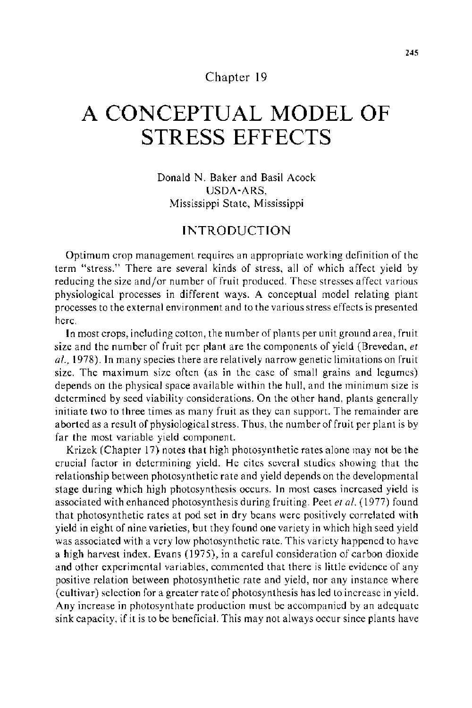#### Chapter **19**

# **A CONCEPTUAL MODEL OF STRESS EFFECTS**

Donald N. Baker and Basil Acock USDA-ARS, Mississippi State, Mississippi

### **INTRODUCTION**

Optimum crop management requires an appropriate working definition of the term "stress." There are several kinds of stress, all of which affect yield by reducing the size and/or number of fruit produced. These stresses affect various physiological processes in different ways. A conceptual model relating plant processes to the external environment and to the various stress effects is presented here.

In most crops, including cotton, the number of plants per unit ground area, fruit size and the number of fruit per plant are the components of yield (Brevedan, *et a!.,* 1978). In many species there are relatively narrow genetic limitations on fruit size. The maximum size often (as in the case of small grains and legumes) depends on the physical space available within the hull, and the minimum size is determined by seed viability considerations. On the other hand, plants generally initiate two to three times as many fruit as they can support. The remainder are aborted as a result of physiological stress. Thus, the number of fruit per plant is by far the most variable yield component.

Krizek (Chapter 17) notes that high photosynthetic rates alone may not be the crucial factor in determining yield. He cites several studies showing that the relationship between photosynthetic rate and yield depends on the developmental stage during which high photosynthesis occurs. In most cases increased yield is associated with enhanced photosynthesis during fruiting. Peet *eta/.* ( 1977) found that photosynthetic rates at pod set in dry beans were positively correlated with yield in eight of nine varieties, but they found one variety in which high seed yield was associated with a very low photosynthetic rate. This variety happened to have a high harvest index. Evans (1975), in a careful consideration of carbon dioxide and other experimental variables, commented that there is little evidence of any positive relation between photosynthetic rate and yield, nor any instance where (cultivar) selection for a greater rate of photosynthesis has led to increase in yield. Any increase in photosynthate production must be accompanied by an adequate sink capacity, if it is to be beneficial. This may not always occur since plants have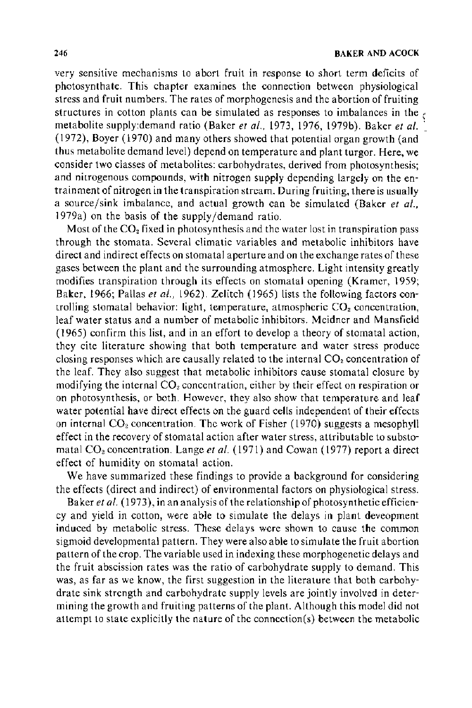very sensitive mechanisms to abort fruit in response to short term deficits of photosynthate. This chapter examines the connection between physiological stress and fruit numbers. The rates of morphogenesis and the abortion of fruiting structures in cotton plants can be simulated as responses to imbalances in the  $\epsilon$ metabolite supply:demand ratio (Baker *eta!.,* 1973, 1976, 1979b). Baker *eta/.* <sup>~</sup> (1972), Boyer (1970) and many others showed that potential organ growth (and thus metabolite demand level) depend on temperature and plant turgor. Here, we consider two classes of metabolites: carbohydrates, derived from photosynthesis; and nitrogenous compounds, with nitrogen supply depending largely on the entrainment of nitrogen in the transpiration stream. During fruiting, there is usually a source/sink imbalance, and actual growth can be simulated (Baker *et a!.,*  1979a) on the basis of the supply/demand ratio.

Most of the  $CO<sub>2</sub>$  fixed in photosynthesis and the water lost in transpiration pass through the stomata. Several climatic variables and metabolic inhibitors have direct and indirect effects on stomatal aperture and on the exchange rates of these gases between the plant and the surrounding atmosphere. Light intensity greatly modifies transpiration through its effects on stomatal opening (Kramer, 1959; Baker, 1966; Pallas *et a!.,* 1962). Zelitch (1965) lists the following factors controlling stomatal behavior: light, temperature, atmospheric  $CO<sub>2</sub>$  concentration, leaf water status and a number of metabolic inhibitors. Meidner and Mansfield ( 1965) confirm this list, and in an effort to develop a theory of stomatal action, they cite literature showing that both temperature and water stress produce closing responses which are causally related to the internal  $CO<sub>2</sub>$  concentration of the leaf. They also suggest that metabolic inhibitors cause stomatal closure by modifying the internal  $CO<sub>2</sub>$  concentration, either by their effect on respiration or on photosynthesis, or both. However, they also show that temperature and leaf water potential have direct effects on the guard cells independent of their effects on internal  $CO<sub>2</sub>$  concentration. The work of Fisher (1970) suggests a mesophyll effect in the recovery of stomatal action after water stress, attributable to substomatal CO<sub>2</sub> concentration. Lange et al. (1971) and Cowan (1977) report a direct effect of humidity on stomatal action.

We have summarized these findings to provide a background for considering the effects (direct and indirect) of environmental factors on physiological stress.

Baker *et al.* (1973), in an analysis of the relationship of photosynthetic efficiency and yield in cotton, were able to simulate the delays in plant deveopment induced by metabolic stress. These delays were shown to cause the common sigmoid developmental pattern. They were also able to simulate the fruit abortion pattern of the crop. The variable used in indexing these morphogenetic delays and the fruit abscission rates was the ratio of carbohydrate supply to demand. This was, as far as we know, the first suggestion in the literature that both carbohydrate sink strength and carbohydrate supply levels are jointly involved in determining the growth and fruiting patterns of the plant. Although this model did not attempt to state explicitly the nature of the connection(s) between the metabolic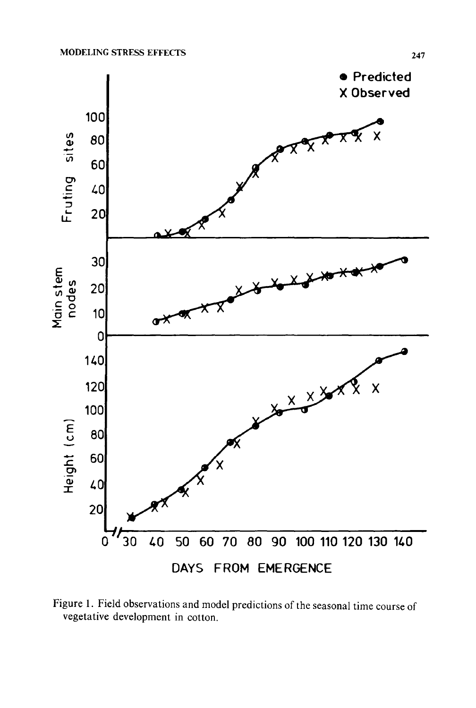

Figure 1. Field observations and model predictions of the seasonal time course of vegetative development in cotton.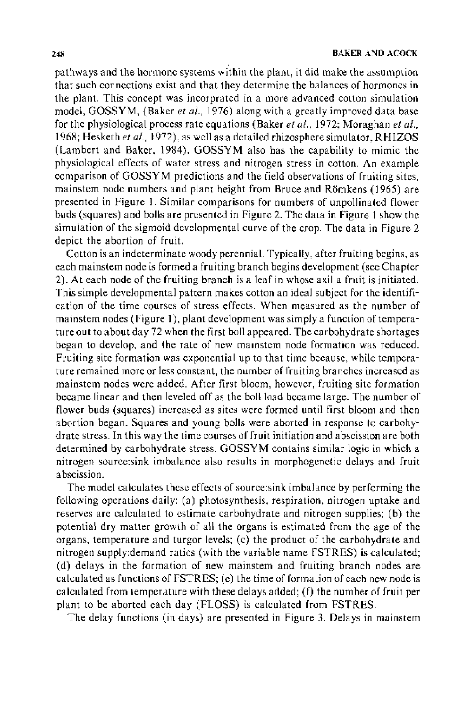pathways and the hormone systems within the plant, it did make the assumption that such connections exist and that they determine the balances of hormones in the plant. This concept was incorprated in a more advanced cotton simulation model, GOSSYM, (Baker *et al.,* 1976) along with a greatly improved data base for the physiological process rate equations (Baker *eta/.,* 1972; Moraghan *et al.,*  1968; Hesketh *eta!.,* 1972), as well as a detailed rhizosphere simulator, RHIZOS (Lambert and Baker, 1984). GOSSYM also has the capability to mimic the physiological effects of water stress and nitrogen stress in cotton. An example comparison of GOSSYM predictions and the field observations of fruiting sites, mainstem node numbers and plant height from Bruce and Romkens ( 1965) are presented in Figure 1. Similar comparisons for numbers of unpollinated flower buds (squares) and bolls are presented in Figure 2. The data in Figure I show the simulation of the sigmoid developmental curve of the crop. The data in Figure 2 depict the abortion of fruit.

Cotton is an indeterminate woody perennial. Typically, after fruiting begins, as each mainstem node is formed a fruiting branch begins development (see Chapter 2). At each node of the fruiting branch is a leaf in whose axil a fruit is initiated. This simple developmental pattern makes cotton an ideal subject for the identification of the time courses of stress effects. When measured as the number of mainstem nodes (Figure 1), plant development was simply a function of temperature out to about day 72 when the first boll appeared. The carbohydrate shortages began to develop, and the rate of new mainstem node formation was reduced. Fruiting site formation was exponential up to that time because, while temperature remained more or less constant, the number of fruiting branches increased as mainstem nodes were added. After first bloom, however, fruiting site formation became linear and then leveled off as the boll load became large. The number of flower buds (squares) increased as sites were formed until first bloom and then abortion began. Squares and young bolls were aborted in response to carbohydrate stress. In this way the time courses of fruit initiation and abscission are both determined by carbohydrate stress. GOSSYM contains similar logic in which a nitrogen source:sink imbalance also results in morphogenetic delays and fruit abscission.

The model calculates these effects of source:sink imbalance by performing the following operations daily: (a) photosynthesis, respiration, nitrogen uptake and reserves are calculated to estimate carbohydrate and nitrogen supplies; (b) the potential dry matter growth of all the organs is estimated from the age of the organs, temperature and turgor levels; (c) the product of the carbohydrate and nitrogen supply:demand ratios (with the variable name FSTRES) is calculated; (d) delays in the formation of new mainstem and fruiting branch nodes are calculated as functions of FSTRES; (e) the time of formation of each new node is calculated from temperature with these delays added; (f) the number of fruit per plant to be aborted each day (FLOSS) is calculated from FSTRES.

The delay functions (in days) are presented in Figure 3. Delays in mainstem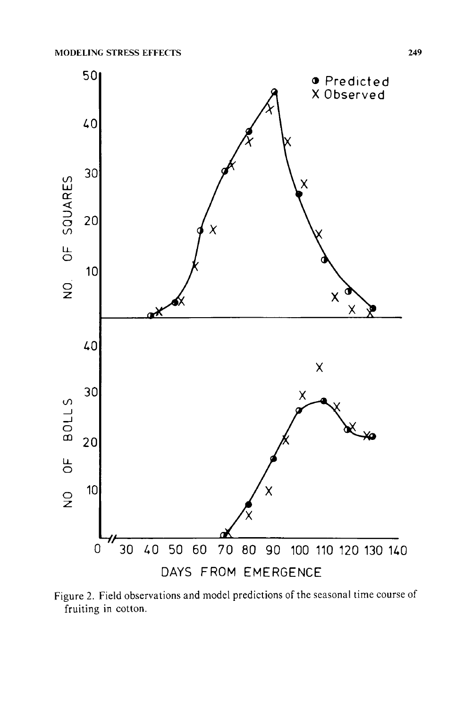

Figure 2. Field observations and model predictions of the seasonal time course of fruiting in cotton.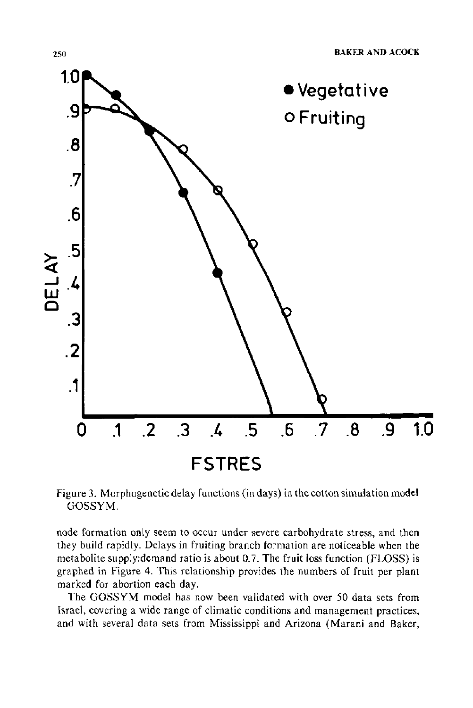

Figure 3. Morphogenetic delay functions (in days) in the cotton simulation model GOSSYM.

node formation only seem to occur under severe carbohydrate stress, and then they build rapidly. Delays in fruiting branch formation are noticeable when the metabolite supply:demand ratio is about 0.7. The fruit loss function (FLOSS) is graphed in Figure 4. This relationship provides the numbers of fruit per plant marked for abortion each day.

The GOSSYM model has now been validated with over 50 data sets from Israel, covering a wide range of climatic conditions and management practices, and with several data sets from Mississippi and Arizona (Marani and Baker,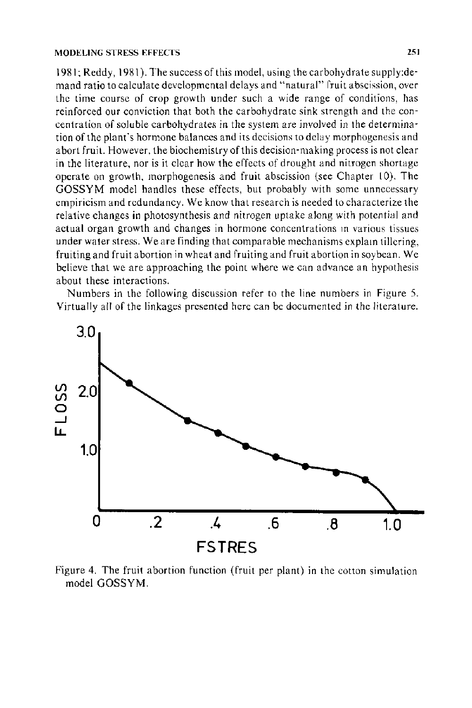1981; Reddy, 1981 ). The success of this model, using the carbohydrate supply:demand ratio to calculate developmental delays and "natural" fruit abscission, over the time course of crop growth under such a wide range of conditions, has reinforced our conviction that both the carbohydrate sink strength and the concentration of soluble carbohydrates in the system are involved in the determination of the plant's hormone balances and its decisions to delay morphogenesis and abort fruit. However, the biochemistry of this decision-making process is not clear in the literature, nor is it clear how the effects of drought and nitrogen shortage operate on growth, morphogenesis and fruit abscission (see Chapter 10). The GOSSYM model handles these effects, but probably with some unnecessary empiricism and redundancy. We know that research is needed to characterize the relative changes in photosynthesis and nitrogen uptake along with potential and actual organ growth and changes in hormone concentrations m various tissues under water stress. We are finding that comparable mechanisms explain tillering, fruiting and fruit abortion in wheat and fruiting and fruit abortion in soybean. We believe that we are approaching the point where we can advance an hypothesis about these interactions.

Numbers in the following discussion refer to the line numbers in Figure 5. Virtually all of the linkages presented here can be documented in the literature.



Figure 4. The fruit abortion function (fruit per plant) in the cotton simulation model GOSSYM.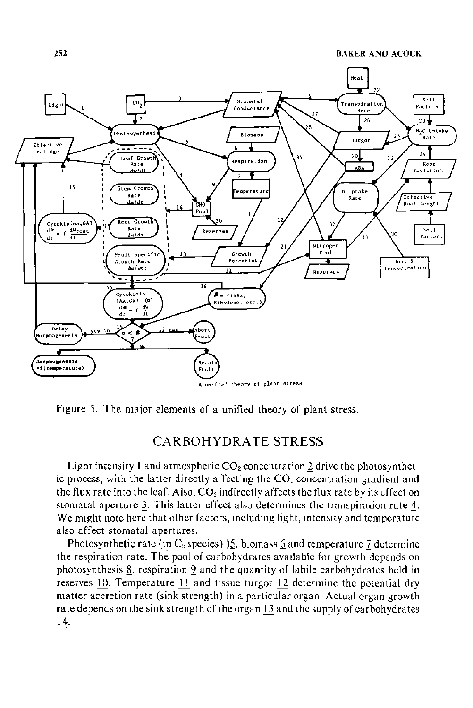

Figure 5. The major elements of a unified theory of plant stress.

### CARBOHYDRATE STRESS

Light intensity 1 and atmospheric  $CO<sub>2</sub>$  concentration 2 drive the photosynthetic process, with the latter directly affecting the  $CO<sub>2</sub>$  concentration gradient and the flux rate into the leaf. Also,  $CO<sub>2</sub>$  indirectly affects the flux rate by its effect on stomatal aperture 3. This latter effect also determines the transpiration rate 4. We might note here that other factors, including light, intensity and temperature also affect stomatal apertures.

Photosynthetic rate (in  $C_3$  species) 15, biomass 6 and temperature 7 determine the respiration rate. The pool of carbohydrates available for growth depends on photosynthesis 8, respiration 9 and the quantity of labile carbohydrates held in reserves 10. Temperature 11 and tissue turgor 12 determine the potential dry matter accretion rate (sink strength) in a particular organ. Actual organ growth rate depends on the sink strength of the organ 13 and the supply of carbohydrates 14.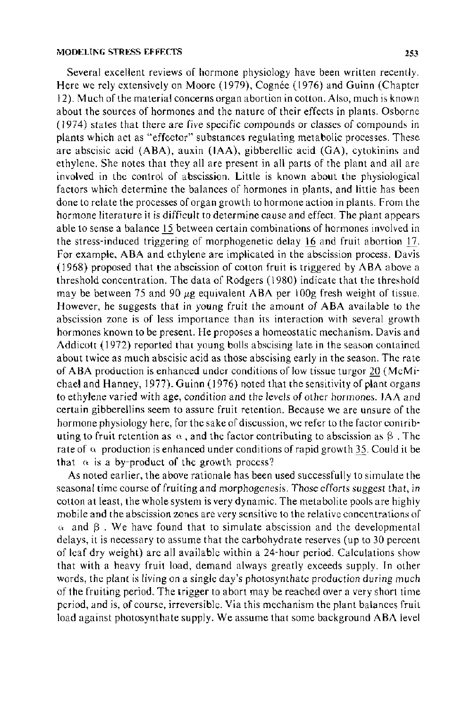Several excellent reviews of hormone physiology have been written recently. Here we rely extensively on Moore (1979), Cognée (1976) and Guinn (Chapter 12). Much of the material concerns organ abortion in cotton. Also, much is known about the sources of hormones and the nature of their effects in plants. Osborne (1974) states that there are five specific compounds or classes of compounds in plants which act as "effector" substances regulating metabolic processes. These are abscisic acid (ABA), auxin (IAA), gibberellic acid (GA), cytokinins and ethylene. She notes that they all are present in all parts of the plant and all are involved in the control of abscission. Little is known about the physiological factors which determine the balances of hormones in plants, and little has been done to relate the processes of organ growth to hormone action in plants. From the hormone literature it is difficult to determine cause and effect. The plant appears able to sense a balance 15 between certain combinations of hormones involved in the stress-induced triggering of morphogenetic delay 16 and fruit abortion 17. For example, ABA and ethylene are implicated in the abscission process. Davis ( 1968) proposed that the abscission of cotton fruit is triggered by ABA above a threshold concentration. The data of Rodgers ( 1980) indicate that the threshold may be between 75 and 90  $\mu$ g equivalent ABA per 100g fresh weight of tissue. However, he suggests that in young fruit the amount of ABA available to the abscission zone is of less importance than its interaction with several growth hormones known to be present. He proposes a homeostatic mechanism. Davis and Addicott (1972) reported that young bolls abscising late in the season contained about twice as much abscisic acid as those abscising early in the season. The rate of ABA production is enhanced under conditions of low tissue turgor 20 (McMichael and Hanney, 1977). Guinn ( 1976) noted that the sensitivity of plant organs to ethylene varied with age, condition and the levels of other hormones. IAA and certain gibberellins seem to assure fruit retention. Because we are unsure of the hormone physiology here, for the sake of discussion, we refer to the factor contributing to fruit retention as  $\alpha$ , and the factor contributing to abscission as  $\beta$ . The rate of  $\alpha$  production is enhanced under conditions of rapid growth 35. Could it be that  $\alpha$  is a by-product of the growth process?

As noted earlier, the above rationale has been used successfully to simulate the seasonal time course of fruiting and morphogenesis. Those efforts suggest that, in cotton at least, the whole system is very dynamic. The metabolite pools are highly mobile and the abscission zones are very sensitive to the relative concentrations of  $\alpha$  and  $\beta$ . We have found that to simulate abscission and the developmental delays, it is necessary to assume that the carbohydrate reserves (up to 30 percent of leaf dry weight) are all available within a 24-hour period. Calculations show that with a heavy fruit load, demand always greatly exceeds supply. In other words, the plant is living on a single day's photosynthate production during much of the fruiting period. The trigger to abort may be reached over a very short time period, and is, of course, irreversible. Via this mechanism the plant balances fruit load against photosynthate supply. We assume that some background ABA level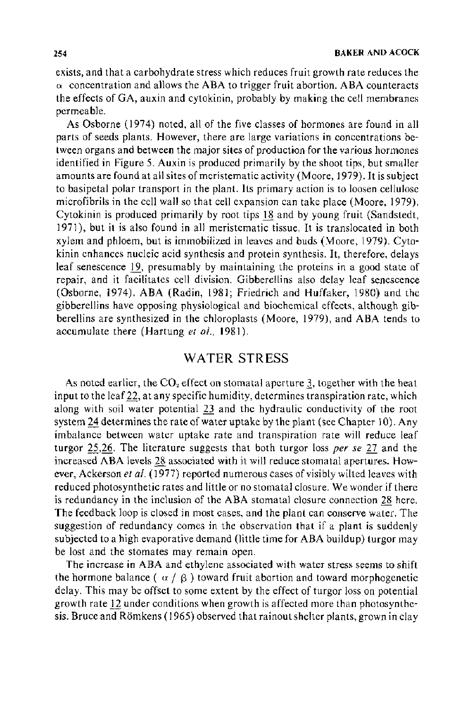exists, and that a carbohydrate stress which reduces fruit growth rate reduces the  $\alpha$  concentration and allows the ABA to trigger fruit abortion. ABA counteracts the effects of GA, auxin and cytokinin, probably by making the cell membranes permeable.

As Osborne (1974) noted, all of the five classes of hormones are found in all parts of seeds plants. However, there are large variations in concentrations between organs and between the major sites of production for the various hormones identified in Figure 5. Auxin is produced primarily by the shoot tips, but smaller amounts are found at all sites of meristematic activity (Moore, 1979). It is subject to basipetal polar transport in the plant. Its primary action is to loosen cellulose microfibrils in the cell wall so that cell expansion can take place (Moore, 1979). Cytokinin is produced primarily by root tips 18 and by young fruit (Sandstedt, 1971 ), but it is also found in all meristematic tissue. It is translocated in both xylem and phloem, but is immobilized in leaves and buds (Moore, 1979). Cytokinin enhances nucleic acid synthesis and protein synthesis. It, therefore, delays leaf senescence 19, presumably by maintaining the proteins in a good state of repair, and it facilitates cell division. Gibberellins also delay leaf senescence (Osborne, 1974). ABA (Radin, 1981; Friedrich and Huffaker, 1980) and the gibberellins have opposing physiological and biochemical effects, although gibberellins are synthesized in the chloroplasts (Moore, 1979), and ABA tends to accumulate there (Hartung *et a!.,* 1981).

### WATER STRESS

As noted earlier, the  $CO_2$  effect on stomatal aperture 3, together with the heat input to the leaf 22, at any specific humidity, determines transpiration rate, which along with soil water potential 23 and the hydraulic conductivity of the root system 24 determines the rate of water uptake by the plant (see Chapter 10). Any imbalance between water uptake rate and transpiration rate will reduce leaf turgor 25,26. The literature suggests that both turgor loss *per se* 27 and the increased ABA levels 28 associated with it will reduce stomatal apertures. However, Ackerson et al. (1977) reported numerous cases of visibly wilted leaves with reduced photosynthetic rates and little or no stomatal closure. We wonder if there is redundancy in the inclusion of the ABA stomatal closure connection 28 here. The feedback loop is closed in most cases, and the plant can conserve water. The suggestion of redundancy comes in the observation that if a plant is suddenly subjected to a high evaporative demand (little time for ABA buildup) turgor may be lost and the stomates may remain open.

The increase in ABA and ethylene associated with water stress seems to shift the hormone balance ( $\alpha$  /  $\beta$ ) toward fruit abortion and toward morphogenetic delay. This may be offset to some extent by the effect of turgor loss on potential growth rate 12 under conditions when growth is affected more than photosynthesis. Bruce and Römkens (1965) observed that rainout shelter plants, grown in clay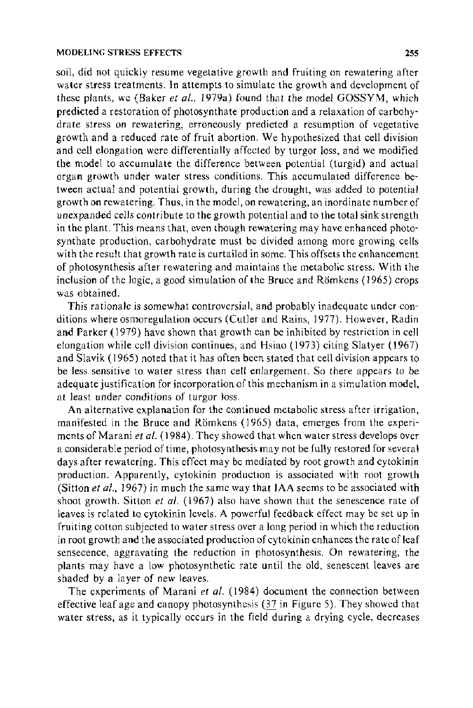soil, did not quickly resume vegetative growth and fruiting on rewatering after water stress treatments. In attempts to simulate the growth and development of these plants, we (Baker *et al.,* 1979a) found that the model GOSSYM, which predicted a restoration of photosynthate production and a relaxation of carbohydrate stress on rewatering, erroneously predicted a resumption of vegetative growth and a reduced rate of fruit abortion. We hypothesized that cell division and cell elongation were differentially affected by turgor loss, and we modified the model to accumulate the difference between potential (turgid) and actual organ growth under water stress conditions. This accumulated difference between actual and potential growth, during the drought, was added to potential growth on rewatering. Thus, in the model, on rewatering, an inordinate number of unexpanded cells contribute to the growth potential and to the total sink strength in the plant. This means that, even though rewatering may have enhanced photosynthate production, carbohydrate must be divided among more growing cells with the result that growth rate is curtailed in some. This offsets the enhancement of photosynthesis after rewatering and maintains the metabolic stress. With the inclusion of the logic, a good simulation of the Bruce and Römkens (1965) crops was obtained.

This rationale is somewhat controversial, and probably inadequate under conditions where osmoregulation occurs (Cutler and Rains, 1977). However, Radin and Parker ( 1979) have shown that growth can be inhibited by restriction in cell elongation while cell division continues, and Hsiao (1973) citing Slatyer (1967) and Slavik ( 1965) noted that it has often been stated that cell division appears to be less sensitive to water stress than cell enlargement. So there appears to be adequate justification for incorporation of this mechanism in a simulation model, at least under conditions of turgor loss.

An alternative explanation for the continued metabolic stress after irrigation, manifested in the Bruce and Römkens (1965) data, emerges from the experiments of Marani *eta!.* ( 1984 ). They showed that when water stress develops over a considerable period of time, photosynthesis may not be fully restored for several days after rewatering. This effect may be mediated by root growth and cytokinin production. Apparently, cytokinin production is associated with root growth (Sitton *et al.*, 1967) in much the same way that IAA seems to be associated with shoot growth. Sitton *et a!.* ( 1967) also have shown that the senescence rate of leaves is related to cytokinin levels. A powerful feedback effect may be set up in fruiting cotton subjected to water stress over a long period in which the reduction in root growth and the associated production of cytokinin enhances the rate of leaf sensecence, aggravating the reduction in photosynthesis. On rewatering, the plants may have a low photosynthetic rate until the old, senescent leaves are shaded by a layer of new leaves.

The experiments of Marani *et a!.* (1984) document the connection between effective leaf age and canopy photosynthesis (37 in Figure 5). They showed that water stress, as it typically occurs in the field during a drying cycle, decreases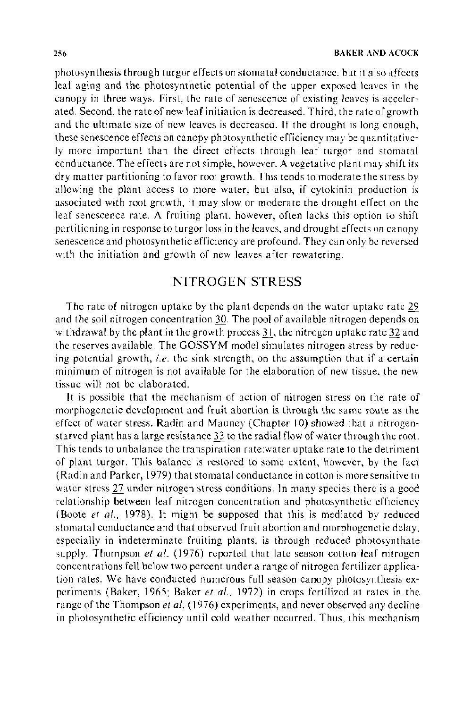photosynthesis through turgor effects on stomatal conductance, but it also affects leaf aging and the photosynthetic potential of the upper exposed leaves in the canopy in three ways. First, the rate of senescence of existing leaves is accelerated. Second, the rate of new leaf initiation is decreased. Third, the rate of growth and the ultimate size of new leaves is decreased. If the drought is long enough, these senescence effects on canopy photosynthetic efficiency may be quantitatively more important than the direct effects through leaf turgor and stomatal conductance. The effects are not simple, however. A vegetative plant may shift its dry matter partitioning to favor root growth. This tends to moderate the stress by allowing the plant access to more water, but also, if cytokinin production is associated with root growth, it may slow or moderate the drought effect on the leaf senescence rate. A fruiting plant. however, often lacks this option to shift partitioning in response to turgor loss in the leaves, and drought effects on canopy senescence and photosynthetic efficiency are profound. They can only be reversed with the initiation and growth of new leaves after rewatering.

## NITROGEN STRESS

The rate of nitrogen uptake by the plant depends on the water uptake rate 29 and the soil nitrogen concentration 30. The pool of available nitrogen depends on withdrawal by the plant in the growth process  $31$ , the nitrogen uptake rate 32 and the reserves available. The GOSSYM model simulates nitrogen stress by reducing potential growth, *i.e.* the sink strength, on the assumption that if a certain minimum of nitrogen is not available for the elaboration of new tissue. the new tissue will not be elaborated.

It is possible that the mechanism of action of nitrogen stress on the rate of morphogenetic development and fruit abortion is through the same route as the effect of water stress. Radin and Mauney (Chapter 10) showed that a nitrogenstarved plant has a large resistance 33 to the radial flow of water through the root. This tends to unbalance the transpiration rate:water uptake rate to the detriment of plant turgor. This balance is restored to some extent, however, by the fact (Radin and Parker, 1979) that stomatal conductance in cotton is more sensitive to water stress 27 under nitrogen stress conditions. In many species there is a good relationship between leaf nitrogen concentration and photosynthetic efficiency (Boote et al., 1978). It might be supposed that this is mediated by reduced stomatal conductance and that observed fruit abortion and morphogenetic delay, especially in indeterminate fruiting plants, is through reduced photosynthate supply. Thompson *et al.* (1976) reported that late season cotton leaf nitrogen concentrations fell below two percent under a range of nitrogen fertilizer application rates. We have conducted numerous full season canopy photosynthesis experiments (Baker, 1965; Baker *et al.*, 1972) in crops fertilized at rates in the range of the Thompson *et al.* (1976) experiments, and never observed any decline in photosynthetic efficiency until cold weather occurred. Thus, this mechanism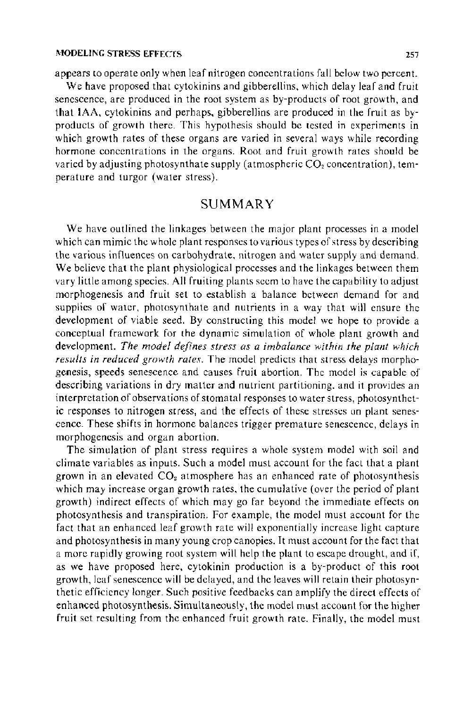appears to operate only when leaf nitrogen concentrations fall below two percent.

We have proposed that cytokinins and gibberellins, which delay leaf and fruit senescence, are produced in the root system as by-products of root growth, and that IAA, cytokinins and perhaps, gibberellins are produced in the fruit as byproducts of growth there. This hypothesis should be tested in experiments in which growth rates of these organs are varied in several ways while recording hormone concentrations in the organs. Root and fruit growth rates should be varied by adjusting photosynthate supply (atmospheric  $CO<sub>2</sub>$  concentration), temperature and turgor (water stress).

#### SUMMARY

We have outlined the linkages between the major plant processes in a model which can mimic the whole plant responses to various types of stress by describing the various influences on carbohydrate, nitrogen and water supply and demand. We believe that the plant physiological processes and the linkages between them vary little among species. All fruiting plants seem to have the capability to adjust morphogenesis and fruit set to establish a balance between demand for and supplies of water, photosynthate and nutrients in a way that will ensure the development of viable seed. By constructing this model we hope to provide a conceptual framework for the dynamic simulation of whole plant growth and development. *The model defines stress as a imbalance within the plant which results in reduced growth rates.* The model predicts that stress delays morphogenesis, speeds senescence and causes fruit abortion. The model is capable of describing variations in dry matter and nutrient partitioning, and it provides an interpretation of observations of stomatal responses to water stress, photosynthetic responses to nitrogen stress, and the effects of these stresses on plant senescence. These shifts in hormone balances trigger premature senescence, delays in morphogenesis and organ abortion.

The simulation of plant stress requires a whole system model with soil and climate variables as inputs. Such a model must account for the fact that a plant grown in an elevated  $CO<sub>2</sub>$  atmosphere has an enhanced rate of photosynthesis which may increase organ growth rates, the cumulative (over the period of plant growth) indirect effects of which may go far beyond the immediate effects on photosynthesis and transpiration. For example, the model must account for the fact that an enhanced leaf growth rate will exponentially increase light capture and photosynthesis in many young crop canopies. It must account for the fact that a more rapidly growing root system will help the plant to escape drought, and if, as we have proposed here, cytokinin production is a by-product of this root growth, leaf senescence will be delayed, and the leaves will retain their photosynthetic efficiency longer. Such positive feedbacks can amplify the direct effects of enhanced photosynthesis. Simultaneously, the model must account for the higher fruit set resulting from the enhanced fruit growth rate. Finally, the model must